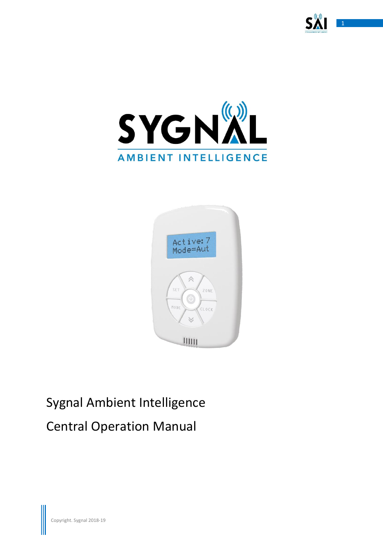





# Sygnal Ambient Intelligence Central Operation Manual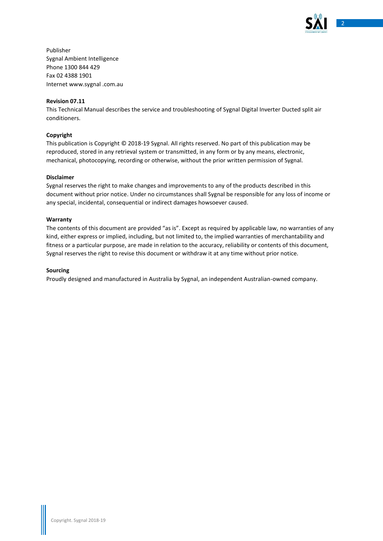

Publisher Sygnal Ambient Intelligence Phone 1300 844 429 Fax 02 4388 1901 Internet www.sygnal .com.au

#### **Revision 07.11**

This Technical Manual describes the service and troubleshooting of Sygnal Digital Inverter Ducted split air conditioners.

#### **Copyright**

This publication is Copyright © 2018-19 Sygnal. All rights reserved. No part of this publication may be reproduced, stored in any retrieval system or transmitted, in any form or by any means, electronic, mechanical, photocopying, recording or otherwise, without the prior written permission of Sygnal.

#### **Disclaimer**

Sygnal reserves the right to make changes and improvements to any of the products described in this document without prior notice. Under no circumstances shall Sygnal be responsible for any loss of income or any special, incidental, consequential or indirect damages howsoever caused.

#### **Warranty**

The contents of this document are provided "as is". Except as required by applicable law, no warranties of any kind, either express or implied, including, but not limited to, the implied warranties of merchantability and fitness or a particular purpose, are made in relation to the accuracy, reliability or contents of this document, Sygnal reserves the right to revise this document or withdraw it at any time without prior notice.

#### **Sourcing**

Proudly designed and manufactured in Australia by Sygnal, an independent Australian-owned company.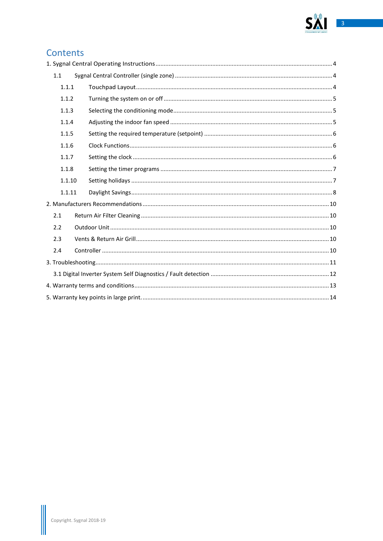

# Contents

| 1.1 |        |  |  |
|-----|--------|--|--|
|     | 1.1.1  |  |  |
|     | 1.1.2  |  |  |
|     | 1.1.3  |  |  |
|     | 1.1.4  |  |  |
|     | 1.1.5  |  |  |
|     | 1.1.6  |  |  |
|     | 1.1.7  |  |  |
|     | 1.1.8  |  |  |
|     | 1.1.10 |  |  |
|     | 1.1.11 |  |  |
|     |        |  |  |
| 2.1 |        |  |  |
| 2.2 |        |  |  |
| 2.3 |        |  |  |
| 2.4 |        |  |  |
|     |        |  |  |
|     |        |  |  |
|     |        |  |  |
|     |        |  |  |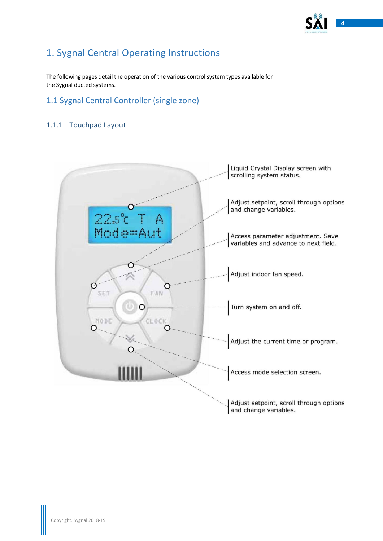

# <span id="page-3-0"></span>1. Sygnal Central Operating Instructions

The following pages detail the operation of the various control system types available for the Sygnal ducted systems.

# <span id="page-3-1"></span>1.1 Sygnal Central Controller (single zone)

# <span id="page-3-2"></span>1.1.1 Touchpad Layout

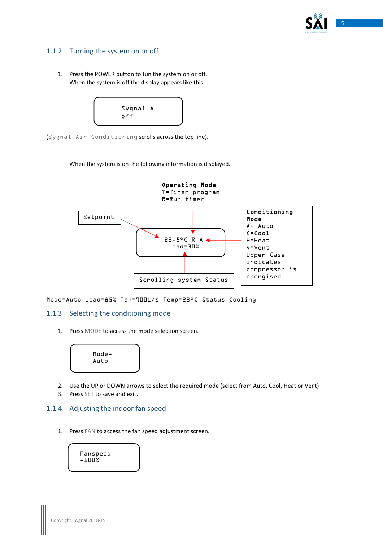

# <span id="page-4-0"></span>1.1.2 Turning the system on or off

1. Press the POWER button to tun the system on or off. When the system is off the display appears like this.



(Sygnal Air Conditioning scrolls across the top line).

When the system is on the following information is displayed.



Mode=Auto Load=85% Fan=900L/s Temp=23°C Status Cooling

### <span id="page-4-1"></span>1.1.3 Selecting the conditioning mode

1. Press MODE to access the mode selection screen.



- 2. Use the UP or DOWN arrows to select the required mode (select from Auto, Cool, Heat or Vent)
- 3. Press SET to save and exit.

### <span id="page-4-2"></span>1.1.4 Adjusting the indoor fan speed

1. Press FAN to access the fan speed adjustment screen.

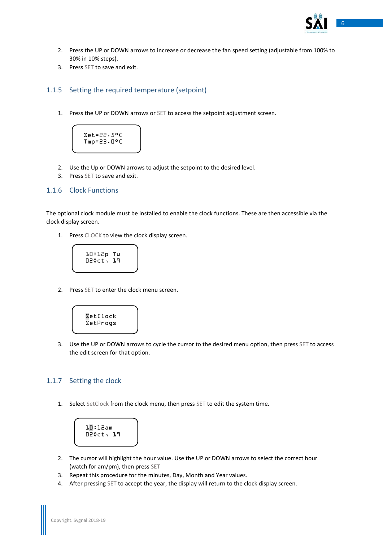

- 2. Press the UP or DOWN arrows to increase or decrease the fan speed setting (adjustable from 100% to 30% in 10% steps).
- 3. Press SET to save and exit.

#### <span id="page-5-0"></span>1.1.5 Setting the required temperature (setpoint)

1. Press the UP or DOWN arrows or SET to access the setpoint adjustment screen.

Set=22.5°C Tmp=23.0°C

- 2. Use the Up or DOWN arrows to adjust the setpoint to the desired level.
- 3. Press SET to save and exit.

### <span id="page-5-1"></span>1.1.6 Clock Functions

The optional clock module must be installed to enable the clock functions. These are then accessible via the clock display screen.

1. Press CLOCK to view the clock display screen.

10:12p Tu 02Oct, 19

2. Press SET to enter the clock menu screen.



3. Use the UP or DOWN arrows to cycle the cursor to the desired menu option, then press SET to access the edit screen for that option.

### <span id="page-5-2"></span>1.1.7 Setting the clock

1. Select SetClock from the clock menu, then press SET to edit the system time.

10:12am 02Oct, 19

- 2. The cursor will highlight the hour value. Use the UP or DOWN arrows to select the correct hour (watch for am/pm), then press SET
- 3. Repeat this procedure for the minutes, Day, Month and Year values.
- 4. After pressing SET to accept the year, the display will return to the clock display screen.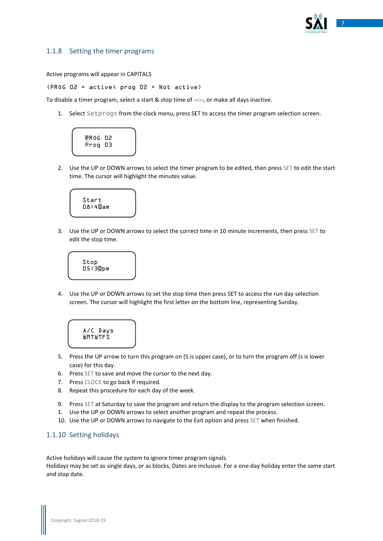

### <span id="page-6-0"></span>1.1.8 Setting the timer programs

Active programs will appear in CAPITALS

(PROG 02 = active; prog 02 = Not active)

To disable a timer program, select a start & stop time of --:--, or make all days inactive.

1. Select Setprogs from the clock menu, press SET to access the timer program selection screen.



2. Use the UP or DOWN arrows to select the timer program to be edited, then press SET to edit the start time. The cursor will highlight the minutes value.



3. Use the UP or DOWN arrows to select the correct time in 10 minute increments, then press SET to edit the stop time.



4. Use the UP or DOWN arrows to set the stop time then press SET to access the run day selection screen. The cursor will highlight the first letter on the bottom line, representing Sunday.



- 5. Press the UP arrow to turn this program on (S is upper case), or to turn the program off (s is lower case) for this day.
- 6. Press SET to save and move the cursor to the next day.
- 7. Press CLOCK to go back if required.
- 8. Repeat this procedure for each day of the week.
- 9. Press SET at Saturday to save the program and return the display to the program selection screen.
- 1. Use the UP or DOWN arrows to select another program and repeat the process.
- 10. Use the UP or DOWN arrows to navigate to the Exit option and press SET when finished.

### <span id="page-6-1"></span>1.1.10 Setting holidays

Active holidays will cause the system to ignore timer program signals.

Holidays may be set as single days, or as blocks, Dates are inclusive. For a one-day holiday enter the same start and stop date.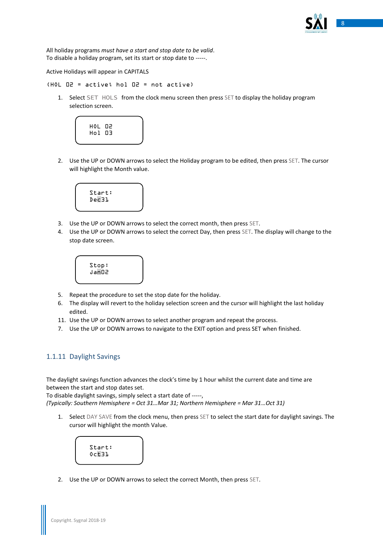

All holiday programs *must have a start and stop date to be valid*. To disable a holiday program, set its start or stop date to -----.

Active Holidays will appear in CAPITALS

(HOL 02 = active; hol 02 = not active)

1. Select SET HOLS from the clock menu screen then press SET to display the holiday program selection screen.



2. Use the UP or DOWN arrows to select the Holiday program to be edited, then press SET. The cursor will highlight the Month value.



- 3. Use the UP or DOWN arrows to select the correct month, then press SET.
- 4. Use the UP or DOWN arrows to select the correct Day, then press SET. The display will change to the stop date screen.



- 5. Repeat the procedure to set the stop date for the holiday.
- 6. The display will revert to the holiday selection screen and the cursor will highlight the last holiday edited.
- 11. Use the UP or DOWN arrows to select another program and repeat the process.
- 7. Use the UP or DOWN arrows to navigate to the EXIT option and press SET when finished.

### <span id="page-7-0"></span>1.1.11 Daylight Savings

The daylight savings function advances the clock's time by 1 hour whilst the current date and time are between the start and stop dates set.

To disable daylight savings, simply select a start date of -----,

*(Typically: Southern Hemisphere = Oct 31…Mar 31; Northern Hemisphere = Mar 31…Oct 31)*

1. Select DAY SAVE from the clock menu, then press SET to select the start date for daylight savings. The cursor will highlight the month Value.



2. Use the UP or DOWN arrows to select the correct Month, then press SET.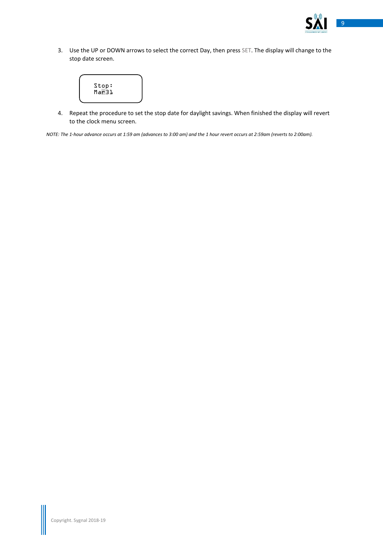

3. Use the UP or DOWN arrows to select the correct Day, then press SET. The display will change to the stop date screen.



4. Repeat the procedure to set the stop date for daylight savings. When finished the display will revert to the clock menu screen.

*NOTE: The 1-hour advance occurs at 1:59 am (advances to 3:00 am) and the 1 hour revert occurs at 2:59am (reverts to 2:00am).*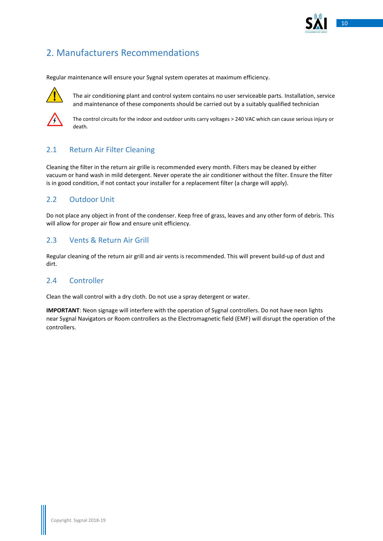

# <span id="page-9-0"></span>2. Manufacturers Recommendations

Regular maintenance will ensure your Sygnal system operates at maximum efficiency.



The air conditioning plant and control system contains no user serviceable parts. Installation, service and maintenance of these components should be carried out by a suitably qualified technician



The control circuits for the indoor and outdoor units carry voltages > 240 VAC which can cause serious injury or death.

# <span id="page-9-1"></span>2.1 Return Air Filter Cleaning

Cleaning the filter in the return air grille is recommended every month. Filters may be cleaned by either vacuum or hand wash in mild detergent. Never operate the air conditioner without the filter. Ensure the filter is in good condition, if not contact your installer for a replacement filter (a charge will apply).

# <span id="page-9-2"></span>2.2 Outdoor Unit

Do not place any object in front of the condenser. Keep free of grass, leaves and any other form of debris. This will allow for proper air flow and ensure unit efficiency.

# <span id="page-9-3"></span>2.3 Vents & Return Air Grill

Regular cleaning of the return air grill and air vents is recommended. This will prevent build-up of dust and dirt.

# <span id="page-9-4"></span>2.4 Controller

Clean the wall control with a dry cloth. Do not use a spray detergent or water.

**IMPORTANT**: Neon signage will interfere with the operation of Sygnal controllers. Do not have neon lights near Sygnal Navigators or Room controllers as the Electromagnetic field (EMF) will disrupt the operation of the controllers.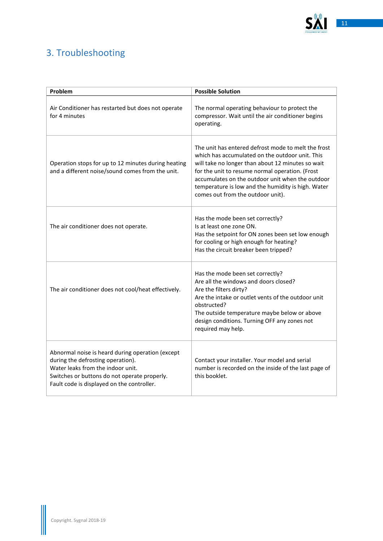

# <span id="page-10-0"></span>3. Troubleshooting

| Problem                                                                                                                                                                                                                  | <b>Possible Solution</b>                                                                                                                                                                                                                                                                                                                                      |
|--------------------------------------------------------------------------------------------------------------------------------------------------------------------------------------------------------------------------|---------------------------------------------------------------------------------------------------------------------------------------------------------------------------------------------------------------------------------------------------------------------------------------------------------------------------------------------------------------|
| Air Conditioner has restarted but does not operate<br>for 4 minutes                                                                                                                                                      | The normal operating behaviour to protect the<br>compressor. Wait until the air conditioner begins<br>operating.                                                                                                                                                                                                                                              |
| Operation stops for up to 12 minutes during heating<br>and a different noise/sound comes from the unit.                                                                                                                  | The unit has entered defrost mode to melt the frost<br>which has accumulated on the outdoor unit. This<br>will take no longer than about 12 minutes so wait<br>for the unit to resume normal operation. (Frost<br>accumulates on the outdoor unit when the outdoor<br>temperature is low and the humidity is high. Water<br>comes out from the outdoor unit). |
| The air conditioner does not operate.                                                                                                                                                                                    | Has the mode been set correctly?<br>Is at least one zone ON.<br>Has the setpoint for ON zones been set low enough<br>for cooling or high enough for heating?<br>Has the circuit breaker been tripped?                                                                                                                                                         |
| The air conditioner does not cool/heat effectively.                                                                                                                                                                      | Has the mode been set correctly?<br>Are all the windows and doors closed?<br>Are the filters dirty?<br>Are the intake or outlet vents of the outdoor unit<br>obstructed?<br>The outside temperature maybe below or above<br>design conditions. Turning OFF any zones not<br>required may help.                                                                |
| Abnormal noise is heard during operation (except<br>during the defrosting operation).<br>Water leaks from the indoor unit.<br>Switches or buttons do not operate properly.<br>Fault code is displayed on the controller. | Contact your installer. Your model and serial<br>number is recorded on the inside of the last page of<br>this booklet.                                                                                                                                                                                                                                        |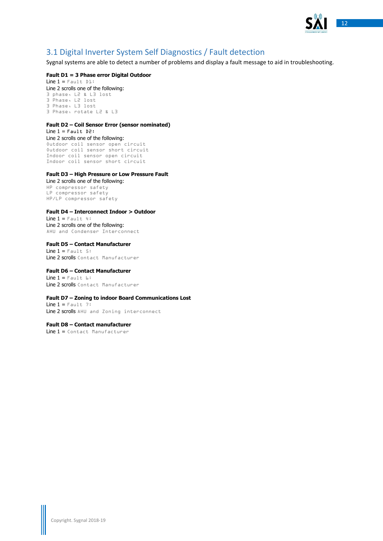

# <span id="page-11-0"></span>3.1 Digital Inverter System Self Diagnostics / Fault detection

Sygnal systems are able to detect a number of problems and display a fault message to aid in troubleshooting.

#### **Fault D1 = 3 Phase error Digital Outdoor**

Line  $1 =$  Fault Dl: Line 2 scrolls one of the following: 3 phase, L2 & L3 lost 3 Phase, L2 lost 3 Phase, L3 lost 3 Phase, rotate L2 & L3

#### **Fault D2 – Coil Sensor Error (sensor nominated)**

Line  $1 =$  Fault D2: Line 2 scrolls one of the following: Outdoor coil sensor open circuit Outdoor coil sensor short circuit Indoor coil sensor open circuit Indoor coil sensor short circuit

#### **Fault D3 – High Pressure or Low Pressure Fault**

Line 2 scrolls one of the following: HP compressor safety LP compressor safety HP/LP compressor safety

#### **Fault D4 – Interconnect Indoor > Outdoor**

 $Line 1 = Four1t 4:$ Line 2 scrolls one of the following: AHU and Condenser Interconnect

**Fault D5 – Contact Manufacturer** Line  $1 = \text{Fault } 5$ : Line 2 scrolls Contact Manufacturer

#### **Fault D6 – Contact Manufacturer**

Line  $1 =$  Fault  $6:$ Line 2 scrolls Contact Manufacturer

#### **Fault D7 – Zoning to indoor Board Communications Lost**

Line  $1 =$  Fault 7: Line 2 scrolls AHU and Zoning interconnect

**Fault D8 – Contact manufacturer** Line 1 = Contact Manufacturer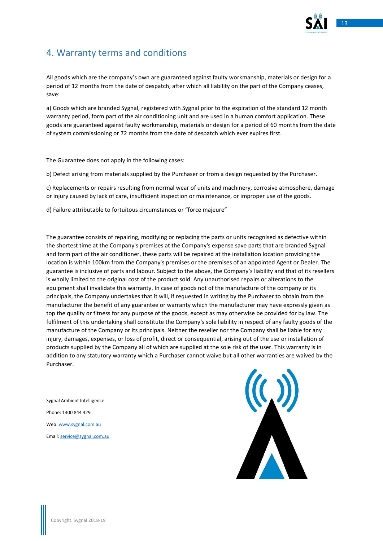

# <span id="page-12-0"></span>4. Warranty terms and conditions

All goods which are the company's own are guaranteed against faulty workmanship, materials or design for a period of 12 months from the date of despatch, after which all liability on the part of the Company ceases, save:

a) Goods which are branded Sygnal, registered with Sygnal prior to the expiration of the standard 12 month warranty period, form part of the air conditioning unit and are used in a human comfort application. These goods are guaranteed against faulty workmanship, materials or design for a period of 60 months from the date of system commissioning or 72 months from the date of despatch which ever expires first.

The Guarantee does not apply in the following cases:

b) Defect arising from materials supplied by the Purchaser or from a design requested by the Purchaser.

c) Replacements or repairs resulting from normal wear of units and machinery, corrosive atmosphere, damage or injury caused by lack of care, insufficient inspection or maintenance, or improper use of the goods.

d) Failure attributable to fortuitous circumstances or "force majeure"

The guarantee consists of repairing, modifying or replacing the parts or units recognised as defective within the shortest time at the Company's premises at the Company's expense save parts that are branded Sygnal and form part of the air conditioner, these parts will be repaired at the installation location providing the location is within 100km from the Company's premises or the premises of an appointed Agent or Dealer. The guarantee is inclusive of parts and labour. Subject to the above, the Company's liability and that of its resellers is wholly limited to the original cost of the product sold. Any unauthorised repairs or alterations to the equipment shall invalidate this warranty. In case of goods not of the manufacture of the company or its principals, the Company undertakes that it will, if requested in writing by the Purchaser to obtain from the manufacturer the benefit of any guarantee or warranty which the manufacturer may have expressly given as top the quality or fitness for any purpose of the goods, except as may otherwise be provided for by law. The fulfilment of this undertaking shall constitute the Company's sole liability in respect of any faulty goods of the manufacture of the Company or its principals. Neither the reseller nor the Company shall be liable for any injury, damages, expenses, or loss of profit, direct or consequential, arising out of the use or installation of products supplied by the Company all of which are supplied at the sole risk of the user. This warranty is in addition to any statutory warranty which a Purchaser cannot waive but all other warranties are waived by the Purchaser.

Sygnal Ambient Intelligence Phone: 1300 844 429 Web[: www.sygnal.com.au](http://www.sygnal.com.au/) Email[: service@sygnal.com.au](mailto:service@sygnal.com.au)